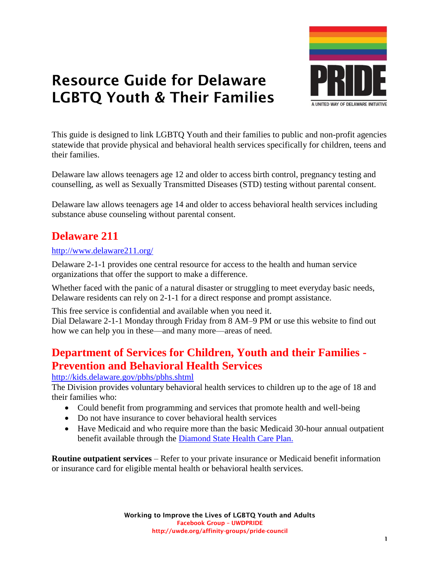

This guide is designed to link LGBTQ Youth and their families to public and non-profit agencies statewide that provide physical and behavioral health services specifically for children, teens and their families.

Delaware law allows teenagers age 12 and older to access birth control, pregnancy testing and counselling, as well as Sexually Transmitted Diseases (STD) testing without parental consent.

Delaware law allows teenagers age 14 and older to access behavioral health services including substance abuse counseling without parental consent.

# **Delaware 211**

#### <http://www.delaware211.org/>

Delaware 2-1-1 provides one central resource for access to the health and human service organizations that offer the support to make a difference.

Whether faced with the panic of a natural disaster or struggling to meet everyday basic needs, Delaware residents can rely on 2-1-1 for a direct response and prompt assistance.

This free service is confidential and available when you need it. Dial Delaware 2-1-1 Monday through Friday from 8 AM–9 PM or use this website to find out how we can help you in these—and many more—areas of need.

# **[Department of Services for Children, Youth and their Families -](file://///uwitc-2008-fs4/index.shtml) [Prevention and Behavioral Health Services](file://///uwitc-2008-fs4/index.shtml)**

<http://kids.delaware.gov/pbhs/pbhs.shtml>

The Division provides voluntary behavioral health services to children up to the age of 18 and their families who:

- Could benefit from programming and services that promote health and well-being
- Do not have insurance to cover behavioral health services
- Have Medicaid and who require more than the basic Medicaid 30-hour annual outpatient benefit available through the [Diamond State Health Care Plan.](http://www.dmap.state.de.us/home/index.html)

**Routine outpatient services** – Refer to your private insurance or Medicaid benefit information or insurance card for eligible mental health or behavioral health services.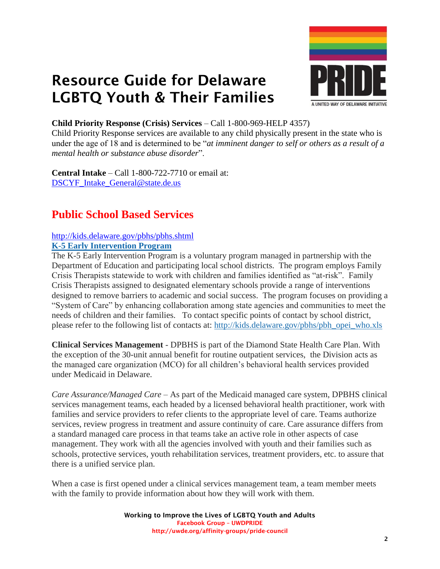



#### **Child Priority Response (Crisis) Services** – Call 1-800-969-HELP 4357)

Child Priority Response services are available to any child physically present in the state who is under the age of 18 and is determined to be "*at imminent danger to self or others as a result of a mental health or substance abuse disorder*".

**Central Intake** – Call 1-800-722-7710 or email at: [DSCYF\\_Intake\\_General@state.de.us](mailto:DSCYF_Intake_General@state.de.us)

# **Public School Based Services**

#### <http://kids.delaware.gov/pbhs/pbhs.shtml>

#### **[K-5 Early Intervention Program](http://kids.delaware.gov/mss/mss_opei_early_intervention.shtml)**

The K-5 Early Intervention Program is a voluntary program managed in partnership with the Department of Education and participating local school districts. The program employs Family Crisis Therapists statewide to work with children and families identified as "at-risk". Family Crisis Therapists assigned to designated elementary schools provide a range of interventions designed to remove barriers to academic and social success. The program focuses on providing a "System of Care" by enhancing collaboration among state agencies and communities to meet the needs of children and their families. To contact specific points of contact by school district, please refer to the following list of contacts at: [http://kids.delaware.gov/pbhs/pbh\\_opei\\_who.xls](http://kids.delaware.gov/docs/pbh_opei_who.xls)

**Clinical Services Management** - DPBHS is part of the Diamond State Health Care Plan. With the exception of the 30-unit annual benefit for routine outpatient services, the Division acts as the managed care organization (MCO) for all children's behavioral health services provided under Medicaid in Delaware.

*Care Assurance/Managed Care* – As part of the Medicaid managed care system, DPBHS clinical services management teams, each headed by a licensed behavioral health practitioner, work with families and service providers to refer clients to the appropriate level of care. Teams authorize services, review progress in treatment and assure continuity of care. Care assurance differs from a standard managed care process in that teams take an active role in other aspects of case management. They work with all the agencies involved with youth and their families such as schools, protective services, youth rehabilitation services, treatment providers, etc. to assure that there is a unified service plan.

When a case is first opened under a clinical services management team, a team member meets with the family to provide information about how they will work with them.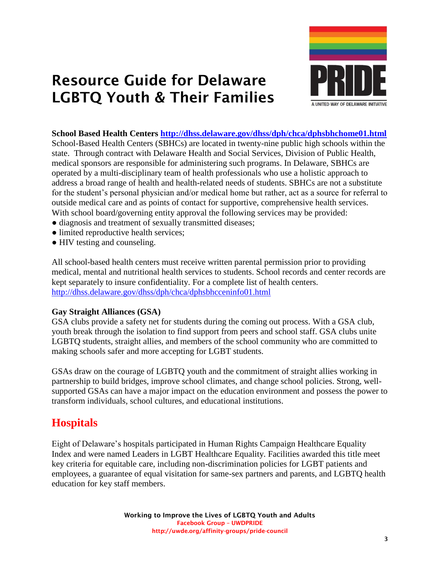

#### **School Based Health Centers <http://dhss.delaware.gov/dhss/dph/chca/dphsbhchome01.html>**

School-Based Health Centers (SBHCs) are located in twenty-nine public high schools within the state. Through contract with Delaware Health and Social Services, Division of Public Health, medical sponsors are responsible for administering such programs. In Delaware, SBHCs are operated by a multi-disciplinary team of health professionals who use a holistic approach to address a broad range of health and health-related needs of students. SBHCs are not a substitute for the student's personal physician and/or medical home but rather, act as a source for referral to outside medical care and as points of contact for supportive, comprehensive health services. With school board/governing entity approval the following services may be provided:

- diagnosis and treatment of sexually transmitted diseases;
- limited reproductive health services;
- HIV testing and counseling.

All school-based health centers must receive written parental permission prior to providing medical, mental and nutritional health services to students. School records and center records are kept separately to insure confidentiality. For a complete list of health centers. <http://dhss.delaware.gov/dhss/dph/chca/dphsbhcceninfo01.html>

#### **Gay Straight Alliances (GSA)**

GSA clubs provide a safety net for students during the coming out process. With a GSA club, youth break through the isolation to find support from peers and school staff. GSA clubs unite LGBTQ students, straight allies, and members of the school community who are committed to making schools safer and more accepting for LGBT students.

GSAs draw on the courage of LGBTQ youth and the commitment of straight allies working in partnership to build bridges, improve school climates, and change school policies. Strong, wellsupported GSAs can have a major impact on the education environment and possess the power to transform individuals, school cultures, and educational institutions.

# **Hospitals**

Eight of Delaware's hospitals participated in Human Rights Campaign Healthcare Equality Index and were named Leaders in LGBT Healthcare Equality. Facilities awarded this title meet key criteria for equitable care, including non-discrimination policies for LGBT patients and employees, a guarantee of equal visitation for same-sex partners and parents, and LGBTQ health education for key staff members.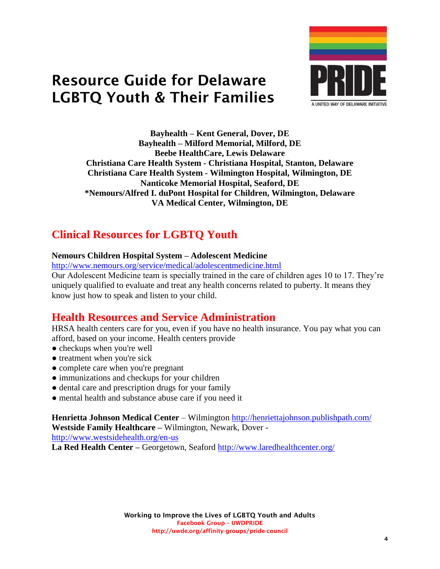

**Bayhealth – Kent General, Dover, DE Bayhealth – Milford Memorial, Milford, DE Beebe HealthCare, Lewis Delaware Christiana Care Health System - Christiana Hospital, Stanton, Delaware Christiana Care Health System - Wilmington Hospital, Wilmington, DE Nanticoke Memorial Hospital, Seaford, DE \*Nemours/Alfred I. duPont Hospital for Children, Wilmington, Delaware VA Medical Center, Wilmington, DE**

# **Clinical Resources for LGBTQ Youth**

#### **Nemours Children Hospital System – Adolescent Medicine**

<http://www.nemours.org/service/medical/adolescentmedicine.html>

Our Adolescent Medicine team is specially trained in the care of children ages 10 to 17. They're uniquely qualified to evaluate and treat any health concerns related to puberty. It means they know just how to speak and listen to your child.

## **Health Resources and Service Administration**

HRSA health centers care for you, even if you have no health insurance. You pay what you can afford, based on your income. Health centers provide

- checkups when you're well
- treatment when you're sick
- complete care when you're pregnant
- immunizations and checkups for your children
- dental care and prescription drugs for your family
- mental health and substance abuse care if you need it

**Henrietta Johnson Medical Center** – Wilmington <http://henriettajohnson.publishpath.com/> **Westside Family Healthcare –** Wilmington, Newark, Dover -

<http://www.westsidehealth.org/en-us>

**La Red Health Center –** Georgetown, Seaford <http://www.laredhealthcenter.org/>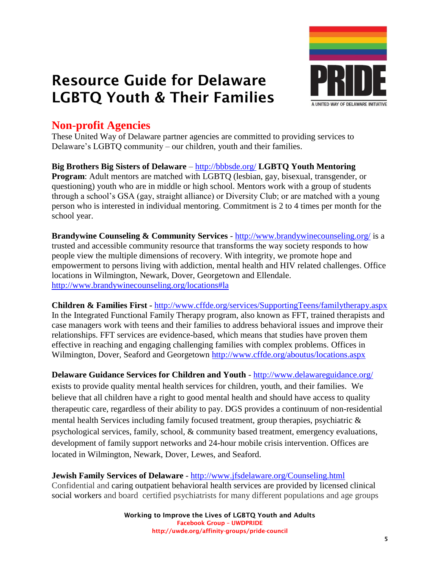

# **Non-profit Agencies**

These United Way of Delaware partner agencies are committed to providing services to Delaware's LGBTQ community – our children, youth and their families.

**Big Brothers Big Sisters of Delaware** – <http://bbbsde.org/> **LGBTQ Youth Mentoring Program**: Adult mentors are matched with LGBTQ (lesbian, gay, bisexual, transgender, or questioning) youth who are in middle or high school. Mentors work with a group of students through a school's GSA (gay, straight alliance) or Diversity Club; or are matched with a young person who is interested in individual mentoring. Commitment is 2 to 4 times per month for the school year.

**Brandywine Counseling & Community Services** - <http://www.brandywinecounseling.org/> is a trusted and accessible community resource that transforms the way society responds to how people view the multiple dimensions of recovery. With integrity, we promote hope and empowerment to persons living with addiction, mental health and HIV related challenges. Office locations in Wilmington, Newark, Dover, Georgetown and Ellendale. <http://www.brandywinecounseling.org/locations#la>

**Children & Families First -** <http://www.cffde.org/services/SupportingTeens/familytherapy.aspx> In the Integrated Functional Family Therapy program, also known as FFT, trained therapists and case managers work with teens and their families to address behavioral issues and improve their relationships. FFT services are evidence-based, which means that studies have proven them effective in reaching and engaging challenging families with complex problems. Offices in Wilmington, Dover, Seaford and Georgetown<http://www.cffde.org/aboutus/locations.aspx>

**Delaware Guidance Services for Children and Youth** - <http://www.delawareguidance.org/> exists to provide quality mental health services for children, youth, and their families. We believe that all children have a right to good mental health and should have access to quality therapeutic care, regardless of their ability to pay. DGS provides a continuum of non-residential mental health Services including family focused treatment, group therapies, psychiatric & psychological services, family, school, & community based treatment, emergency evaluations, development of family support networks and 24-hour mobile crisis intervention. Offices are located in Wilmington, Newark, Dover, Lewes, and Seaford.

**Jewish Family Services of Delaware** - <http://www.jfsdelaware.org/Counseling.html>

Confidential and caring outpatient behavioral health services are provided by licensed clinical social workers and board certified psychiatrists for many different populations and age groups

> **Working to Improve the Lives of LGBTQ Youth and Adults Facebook Group – UWDPRIDE http://uwde.org/affinity-groups/pride-council**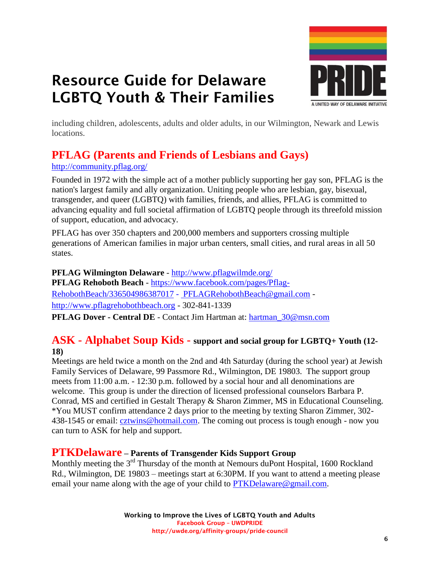

including children, adolescents, adults and older adults, in our Wilmington, Newark and Lewis locations.

# **PFLAG (Parents and Friends of Lesbians and Gays)**

#### <http://community.pflag.org/>

Founded in 1972 with the simple act of a mother publicly supporting her gay son, PFLAG is the nation's largest family and ally organization. Uniting people who are lesbian, gay, bisexual, transgender, and queer (LGBTQ) with families, friends, and allies, PFLAG is committed to advancing equality and full societal affirmation of LGBTQ people through its threefold mission of support, education, and advocacy.

PFLAG has over 350 chapters and 200,000 members and supporters crossing multiple generations of American families in major urban centers, small cities, and rural areas in all 50 states.

**PFLAG Wilmington Delaware** - <http://www.pflagwilmde.org/> **PFLAG Rehoboth Beach** - [https://www.facebook.com/pages/Pflag-](https://www.facebook.com/pages/Pflag-RehobothBeach/336504986387017)[RehobothBeach/336504986387017](https://www.facebook.com/pages/Pflag-RehobothBeach/336504986387017) - [PFLAGRehobothBeach@gmail.com](mailto:PFLAGRehobothBeach@gmail.com) [http://www.pflagrehobothbeach.org](http://www.pflagrehobothbeach.org/) - 302-841-1339

**PFLAG Dover - Central DE** - Contact Jim Hartman at: [hartman\\_30@msn.com](mailto:hartman_30@msn.com)

### **ASK - Alphabet Soup Kids - support and social group for LGBTQ+ Youth (12- 18)**

Meetings are held twice a month on the 2nd and 4th Saturday (during the school year) at Jewish Family Services of Delaware, 99 Passmore Rd., Wilmington, DE 19803. The support group meets from 11:00 a.m. - 12:30 p.m. followed by a social hour and all denominations are welcome. This group is under the direction of licensed professional counselors Barbara P. Conrad, MS and certified in Gestalt Therapy & Sharon Zimmer, MS in Educational Counseling. \*You MUST confirm attendance 2 days prior to the meeting by texting Sharon Zimmer, 302- 438-1545 or email: [cztwins@hotmail.com.](mailto:cztwins@hotmail.com) The coming out process is tough enough - now you can turn to ASK for help and support.

#### **PTKDelaware – Parents of Transgender Kids Support Group**

Monthly meeting the 3<sup>rd</sup> Thursday of the month at Nemours duPont Hospital, 1600 Rockland Rd., Wilmington, DE 19803 – meetings start at 6:30PM. If you want to attend a meeting please email your name along with the age of your child to [PTKDelaware@gmail.com.](mailto:PTKDelaware@gmail.com)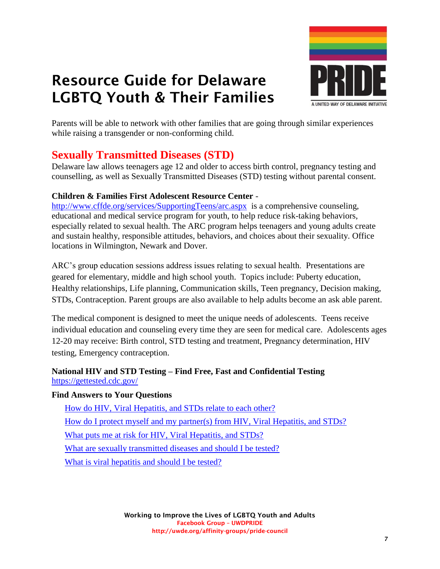

Parents will be able to network with other families that are going through similar experiences while raising a transgender or non-conforming child.

# **Sexually Transmitted Diseases (STD)**

Delaware law allows teenagers age 12 and older to access birth control, pregnancy testing and counselling, as well as Sexually Transmitted Diseases (STD) testing without parental consent.

#### **Children & Families First Adolescent Resource Center** -

<http://www.cffde.org/services/SupportingTeens/arc.aspx> is a comprehensive counseling, educational and medical service program for youth, to help reduce risk-taking behaviors, especially related to sexual health. The ARC program helps teenagers and young adults create and sustain healthy, responsible attitudes, behaviors, and choices about their sexuality. Office locations in Wilmington, Newark and Dover.

ARC's group education sessions address issues relating to sexual health. Presentations are geared for elementary, middle and high school youth. Topics include: Puberty education, Healthy relationships, Life planning, Communication skills, Teen pregnancy, Decision making, STDs, Contraception. Parent groups are also available to help adults become an ask able parent.

The medical component is designed to meet the unique needs of adolescents. Teens receive individual education and counseling every time they are seen for medical care. Adolescents ages 12-20 may receive: Birth control, STD testing and treatment, Pregnancy determination, HIV testing, Emergency contraception.

#### **National HIV and STD Testing – Find Free, Fast and Confidential Testing** <https://gettested.cdc.gov/>

#### **Find Answers to Your Questions**

[How do HIV, Viral Hepatitis, and STDs relate to each other?](file://///uwitc-2008-fs4/content/how-are-hiv-viral-hepatitis-and-stds-related-each-other) [How do I protect myself and my partner\(s\) from HIV, Viral Hepatitis, and STDs?](file://///uwitc-2008-fs4/content/how-do-i-protect-myself-and-my-partners-hiv-viral-hepatitis-and-stds) [What puts me at risk for HIV, Viral Hepatitis, and STDs?](file://///uwitc-2008-fs4/content/what-puts-me-risk-hiv-viral-hepatitis-and-stds) [What are sexually transmitted diseases and should I be tested?](file://///uwitc-2008-fs4/content/what-are-sexually-transmitted-diseases-and-should-i-be-tested) [What is viral hepatitis and should I be tested?](file://///uwitc-2008-fs4/content/what-viral-hepatitis-and-should-i-be-tested)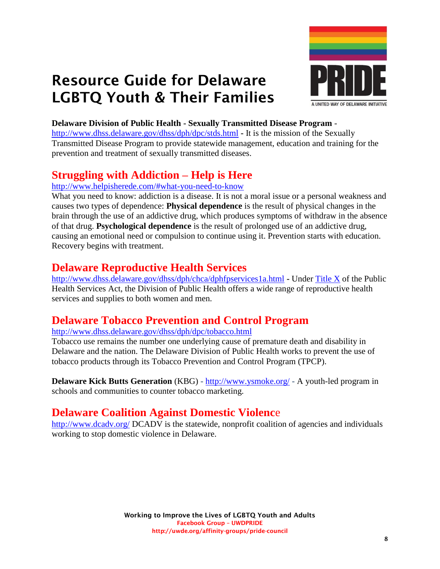



#### **Delaware Division of Public Health - Sexually Transmitted Disease Program** -

<http://www.dhss.delaware.gov/dhss/dph/dpc/stds.html> **-** It is the mission of the Sexually Transmitted Disease Program to provide statewide management, education and training for the prevention and treatment of sexually transmitted diseases.

## **Struggling with Addiction – Help is Here**

#### <http://www.helpisherede.com/#what-you-need-to-know>

What you need to know: addiction is a disease. It is not a moral issue or a personal weakness and causes two types of dependence: **Physical dependence** is the result of physical changes in the brain through the use of an addictive drug, which produces symptoms of withdraw in the absence of that drug. **Psychological dependence** is the result of prolonged use of an addictive drug, causing an emotional need or compulsion to continue using it. Prevention starts with education. Recovery begins with treatment.

## **Delaware Reproductive Health Services**

<http://www.dhss.delaware.gov/dhss/dph/chca/dphfpservices1a.html> **-** Under [Title X](file:///C:/Users/amobley/AppData/Local/Microsoft/Windows/Temporary%20Internet%20Files/Content.Outlook/ET4P7KNR/dphfpservices1b.html) of the Public Health Services Act, the Division of Public Health offers a wide range of reproductive health services and supplies to both women and men.

### **Delaware Tobacco Prevention and Control Program**

<http://www.dhss.delaware.gov/dhss/dph/dpc/tobacco.html>

Tobacco use remains the number one underlying cause of premature death and disability in Delaware and the nation. The Delaware Division of Public Health works to prevent the use of tobacco products through its Tobacco Prevention and Control Program (TPCP).

**Delaware Kick Butts Generation** (KBG) - <http://www.ysmoke.org/> - A youth-led program in schools and communities to counter tobacco marketing.

### **Delaware Coalition Against Domestic Violenc**e

http://www.dcady.org/ DCADV is the statewide, nonprofit coalition of agencies and individuals working to stop domestic violence in Delaware.